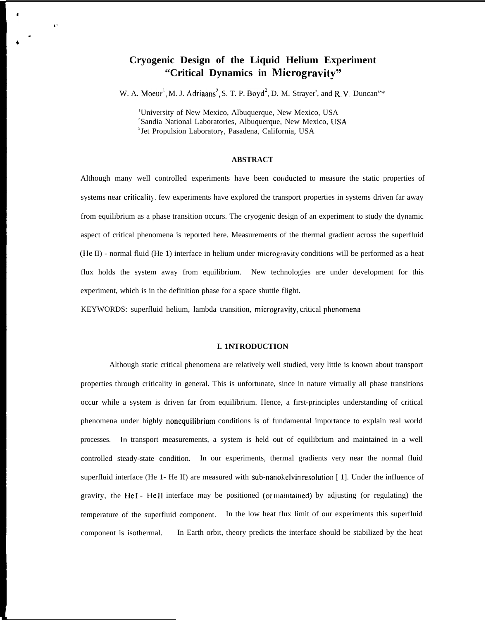# **Cryogenic Design of the Liquid Helium Experiment "Critical Dynamics in Microgravity"**

W. A. Moeur<sup>1</sup>, M. J. Adriaans<sup>2</sup>, S. T. P. Boyd<sup>2</sup>, D. M. Strayer<sup>3</sup>, and R. V. Duncan"\*

] University of New Mexico, Albuquerque, New Mexico, USA <sup>2</sup>Sandia National Laboratories, Albuquerque, New Mexico, USA <sup>3</sup> Jet Propulsion Laboratory, Pasadena, California, USA

,.

. 4

#### **ABSTRACT**

Although many well controlled experiments have been conducted to measure the static properties of systems near criticality, few experiments have explored the transport properties in systems driven far away from equilibrium as a phase transition occurs. The cryogenic design of an experiment to study the dynamic aspect of critical phenomena is reported here. Measurements of the thermal gradient across the superfluid (}ie II) - normal fluid (He 1) interface in helium under microgravity conditions will be performed as a heat flux holds the system away from equilibrium. New technologies are under development for this experiment, which is in the definition phase for a space shuttle flight.

KEYWORDS: superfluid helium, lambda transition, microgravity, critical phenomena

#### **I. 1NTRODUCTION**

Although static critical phenomena are relatively well studied, very little is known about transport properties through criticality in general. This is unfortunate, since in nature virtually all phase transitions occur while a system is driven far from equilibrium. Hence, a first-principles understanding of critical phenomena under highly nonequilibrium conditions is of fundamental importance to explain real world processes. In transport measurements, a system is held out of equilibrium and maintained in a well controlled steady-state condition. In our experiments, thermal gradients very near the normal fluid superfluid interface (He 1- He II) are measured with sub-nanokelvin resolution  $\lceil 1 \rceil$ . Under the influence of gravity, the HeI - HeII interface may be positioned (or maintained) by adjusting (or regulating) the temperature of the superfluid component. In the low heat flux limit of our experiments this superfluid component is isothermal. In Earth orbit, theory predicts the interface should be stabilized by the heat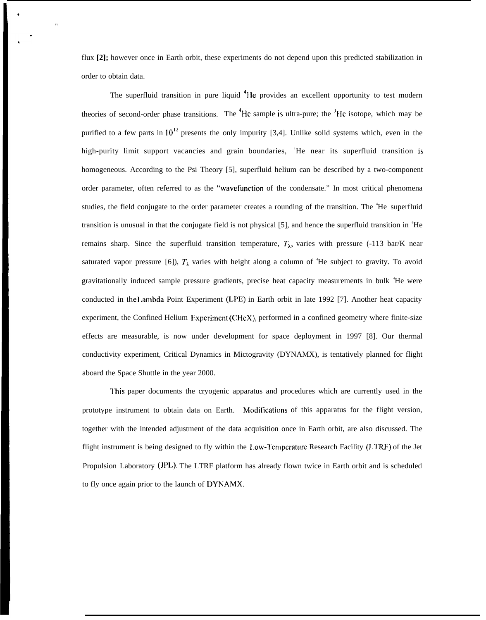flux **[2];** however once in Earth orbit, these experiments do not depend upon this predicted stabilization in order to obtain data.

●

The superfluid transition in pure liquid  ${}^{4}$ He provides an excellent opportunity to test modern theories of second-order phase transitions. The  ${}^{4}$ He sample is ultra-pure; the  ${}^{3}$ He isotope, which may be purified to a few parts in  $10^{12}$  presents the only impurity [3,4]. Unlike solid systems which, even in the high-purity limit support vacancies and grain boundaries, 'He near its superfluid transition is homogeneous. According to the Psi Theory [5], superfluid helium can be described by a two-component order parameter, often referred to as the "wavefunction of the condensate." In most critical phenomena studies, the field conjugate to the order parameter creates a rounding of the transition. The <sup>4</sup>He superfluid transition is unusual in that the conjugate field is not physical [5], and hence the superfluid transition in  ${}^4He$ remains sharp. Since the superfluid transition temperature,  $T_{\lambda}$ , varies with pressure (-113 bar/K near saturated vapor pressure [6]),  $T_{\lambda}$  varies with height along a column of <sup>4</sup>He subject to gravity. To avoid gravitationally induced sample pressure gradients, precise heat capacity measurements in bulk <sup>4</sup>He were conducted in lhe I,ambda Point Experiment (LPE) in Earth orbit in late 1992 [7]. Another heat capacity experiment, the Confined Helium Experiment (CHeX), performed in a confined geometry where finite-size effects are measurable, is now under development for space deployment in 1997 [8]. Our thermal conductivity experiment, Critical Dynamics in Mictogravity (DYNAMX), is tentatively planned for flight aboard the Space Shuttle in the year 2000.

I'his paper documents the cryogenic apparatus and procedures which are currently used in the prototype instrument to obtain data on Earth. Modifications of this apparatus for the flight version, together with the intended adjustment of the data acquisition once in Earth orbit, are also discussed. The flight instrument is being designed to fly within the Low-Temperature Research Facility (LTRF) of the Jet Propulsion Laboratory (JPL). The LTRF platform has already flown twice in Earth orbit and is scheduled to fly once again prior to the launch of DYNAMX.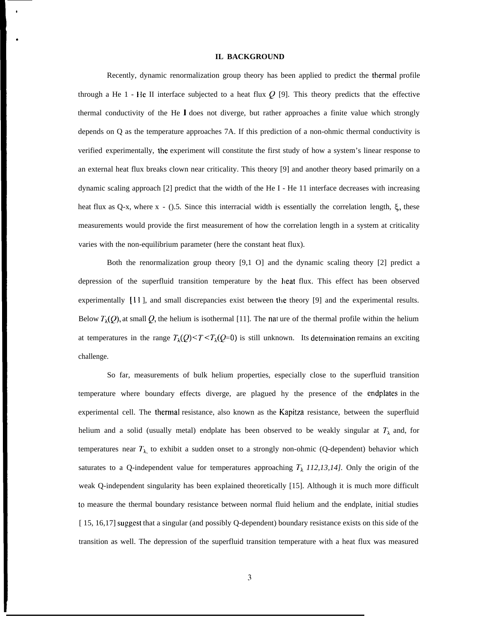# **IL BACKGROUND**

●

\*

Recently, dynamic renormalization group theory has been applied to predict the thermal profile through a He 1 - He II interface subjected to a heat flux Q [9]. This theory predicts that the effective thermal conductivity of the He 1 does not diverge, but rather approaches a finite value which strongly depends on Q as the temperature approaches 7A. If this prediction of a non-ohmic thermal conductivity is verified experimentally, the experiment will constitute the first study of how a system's linear response to an external heat flux breaks clown near criticality. This theory [9] and another theory based primarily on a dynamic scaling approach [2] predict that the width of the He I - He 11 interface decreases with increasing heat flux as Q-x, where  $x - (0.5.5)$  Since this interracial width is essentially the correlation length,  $\xi$ , these measurements would provide the first measurement of how the correlation length in a system at criticality varies with the non-equilibrium parameter (here the constant heat flux).

Both the renormalization group theory [9,1 O] and the dynamic scaling theory [2] predict a depression of the superfluid transition temperature by the heat flux. This effect has been observed experimentally [11], and small discrepancies exist between the theory [9] and the experimental results. Below  $T_{\lambda}(Q)$ , at small Q, the helium is isothermal [11]. The nat ure of the thermal profile within the helium at temperatures in the range  $T_{\lambda}(Q) < T < T_{\lambda}(Q=0)$  is still unknown. Its determination remains an exciting challenge.

So far, measurements of bulk helium properties, especially close to the superfluid transition temperature where boundary effects diverge, are plagued hy the presence of the endplates in the experimental cell. The thermal resistance, also known as the Kapitza resistance, between the superfluid helium and a solid (usually metal) endplate has been observed to be weakly singular at  $T_{\lambda}$  and, for temperatures near  $T_{\lambda}$  to exhibit a sudden onset to a strongly non-ohmic (Q-dependent) behavior which saturates to a Q-independent value for temperatures approaching  $T_{\lambda}$  112,13,14]. Only the origin of the weak Q-independent singularity has been explained theoretically [15]. Although it is much more difficult to measure the thermal boundary resistance between normal fluid helium and the endplate, initial studies [ 15, 16,17] suggest that a singular (and possibly Q-dependent) boundary resistance exists on this side of the transition as well. The depression of the superfluid transition temperature with a heat flux was measured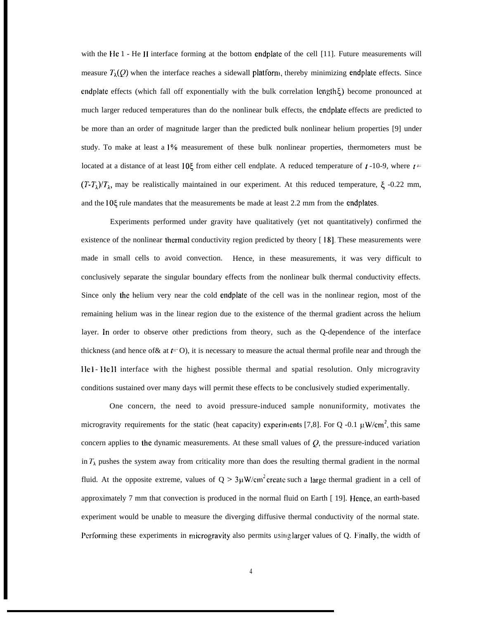with the He 1 - He II interface forming at the bottom endplate of the cell [11]. Future measurements will measure  $T_{\lambda}(Q)$  when the interface reaches a sidewall platform, thereby minimizing endplate effects. Since endplate effects (which fall off exponentially with the bulk correlation length $\xi$ ) become pronounced at much larger reduced temperatures than do the nonlinear bulk effects, the endplate effects are predicted to be more than an order of magnitude larger than the predicted bulk nonlinear helium properties [9] under study. To make at least a 19'o measurement of these bulk nonlinear properties, thermometers must be located at a distance of at least 10 $\xi$  from either cell endplate. A reduced temperature of  $\iota$ -10-9, where  $\iota$  =  $(T-T<sub>\lambda</sub>)/T<sub>\lambda</sub>$ , may be realistically maintained in our experiment. At this reduced temperature,  $\xi$  -0.22 mm, and the 10<sup>g</sup> rule mandates that the measurements be made at least 2.2 mm from the endplates.

Experiments performed under gravity have qualitatively (yet not quantitatively) confirmed the existence of the nonlinear thermal conductivity region predicted by theory [18]. These measurements were made in small cells to avoid convection. Hence, in these measurements, it was very difficult to conclusively separate the singular boundary effects from the nonlinear bulk thermal conductivity effects. Since only the helium very near the cold endplate of the cell was in the nonlinear region, most of the remaining helium was in the linear region due to the existence of the thermal gradient across the helium layer. In order to observe other predictions from theory, such as the Q-dependence of the interface thickness (and hence of & at  $t=$  O), it is necessary to measure the actual thermal profile near and through the He I- He II interface with the highest possible thermal and spatial resolution. Only microgravity conditions sustained over many days will permit these effects to be conclusively studied experimentally.

One concern, the need to avoid pressure-induced sample nonuniformity, motivates the microgravity requirements for the static (heat capacity) experiments [7,8]. For Q -0.1  $\mu$ W/cm<sup>2</sup>, this same concern applies to the dynamic measurements. At these small values of  $Q$ , the pressure-induced variation in  $T_{\lambda}$  pushes the system away from criticality more than does the resulting thermal gradient in the normal fluid. At the opposite extreme, values of  $Q > 3 \mu W/cm^2$  create such a large thermal gradient in a cell of approximately 7 mm that convection is produced in the normal fluid on Earth [19]. Hence, an earth-based experiment would be unable to measure the diverging diffusive thermal conductivity of the normal state. Performing these experiments in microgravity also permits using larger values of Q. Finally, the width of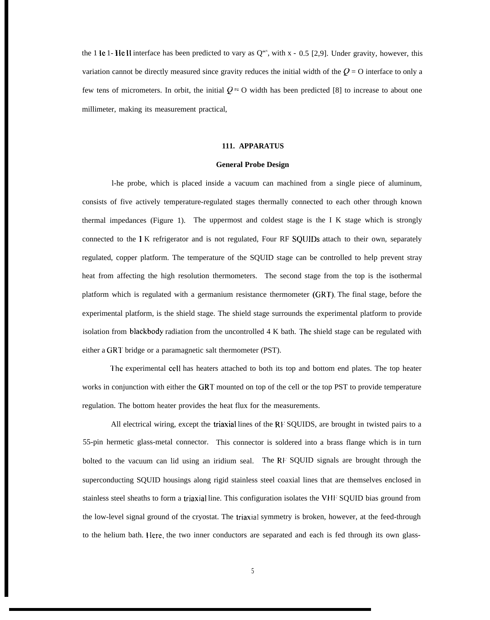the 1 Ie 1- HeII interface has been predicted to vary as  $Q^{\alpha x}$ , with x - 0.5 [2,9]. Under gravity, however, this variation cannot be directly measured since gravity reduces the initial width of the  $Q = O$  interface to only a few tens of micrometers. In orbit, the initial  $Q = 0$  width has been predicted [8] to increase to about one millimeter, making its measurement practical,

## **111. APPARATUS**

#### **General Probe Design**

l-he probe, which is placed inside a vacuum can machined from a single piece of aluminum, consists of five actively temperature-regulated stages thermally connected to each other through known thermal impedances (Figure 1). The uppermost and coldest stage is the I K stage which is strongly connected to the 1 K refrigerator and is not regulated, Four RF SQUIDs attach to their own, separately regulated, copper platform. The temperature of the SQUID stage can be controlled to help prevent stray heat from affecting the high resolution thermometers. The second stage from the top is the isothermal platform which is regulated with a germanium resistance thermometer (GRT). The final stage, before the experimental platform, is the shield stage. The shield stage surrounds the experimental platform to provide isolation from blackbody radiation from the uncontrolled 4 K bath. The shield stage can be regulated with either a GRT bridge or a paramagnetic salt thermometer (PST).

I'he experimental cell has heaters attached to both its top and bottom end plates. The top heater works in conjunction with either the GRT mounted on top of the cell or the top PST to provide temperature regulation. The bottom heater provides the heat flux for the measurements.

All electrical wiring, except the triaxial lines of the  $RF$  SQUIDS, are brought in twisted pairs to a 55-pin hermetic glass-metal connector. This connector is soldered into a brass flange which is in turn bolted to the vacuum can lid using an iridium seal. The RF SQUID signals are brought through the superconducting SQUID housings along rigid stainless steel coaxial lines that are themselves enclosed in stainless steel sheaths to form a triaxial line. This configuration isolates the VHF SQUID bias ground from the low-level signal ground of the cryostat. The triaxial symmetry is broken, however, at the feed-through to the helium bath. I{ere, the two inner conductors are separated and each is fed through its own glass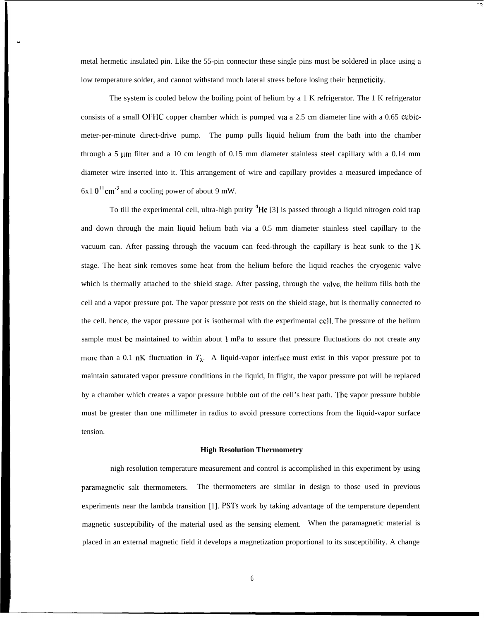metal hermetic insulated pin. Like the 55-pin connector these single pins must be soldered in place using a low temperature solder, and cannot withstand much lateral stress before losing their hermeticity.

"

- +,

The system is cooled below the boiling point of helium by a 1 K refrigerator. The 1 K refrigerator consists of a small OFHC copper chamber which is pumped via a 2.5 cm diameter line with a 0.65 cubicmeter-per-minute direct-drive pump. The pump pulls liquid helium from the bath into the chamber through a 5  $\mu$ m filter and a 10 cm length of 0.15 mm diameter stainless steel capillary with a 0.14 mm diameter wire inserted into it. This arrangement of wire and capillary provides a measured impedance of  $6x10^{11}$  cm<sup>-3</sup> and a cooling power of about 9 mW.

To till the experimental cell, ultra-high purity  ${}^{4}$ He [3] is passed through a liquid nitrogen cold trap and down through the main liquid helium bath via a 0.5 mm diameter stainless steel capillary to the vacuum can. After passing through the vacuum can feed-through the capillary is heat sunk to the 1 K stage. The heat sink removes some heat from the helium before the liquid reaches the cryogenic valve which is thermally attached to the shield stage. After passing, through the valve, the helium fills both the cell and a vapor pressure pot. The vapor pressure pot rests on the shield stage, but is thermally connected to the cell. hence, the vapor pressure pot is isothermal with the experimental cell, The pressure of the helium sample must be maintained to within about 1 mPa to assure that pressure fluctuations do not create any more than a 0.1 nK fluctuation in  $T_{\lambda}$ . A liquid-vapor interface must exist in this vapor pressure pot to maintain saturated vapor pressure conditions in the liquid, In flight, the vapor pressure pot will be replaced by a chamber which creates a vapor pressure bubble out of the cell's heat path. I'he vapor pressure bubble must be greater than one millimeter in radius to avoid pressure corrections from the liquid-vapor surface tension.

## **High Resolution Thermometry**

nigh resolution temperature measurement and control is accomplished in this experiment by using paramagnetic salt thermometers. The thermometers are similar in design to those used in previous experiments near the lambda transition [1]. PSTS work by taking advantage of the temperature dependent magnetic susceptibility of the material used as the sensing element. When the paramagnetic material is placed in an external magnetic field it develops a magnetization proportional to its susceptibility. A change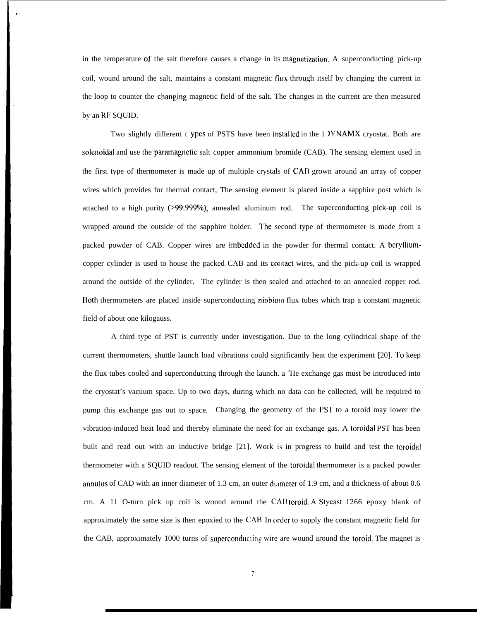in the temperature of the salt therefore causes a change in its magnetization. A superconducting pick-up coil, wound around the salt, maintains a constant magnetic flux through itself by changing the current in the loop to counter the changing magnetic field of the salt. The changes in the current are then measured by an RF SQUID.

. .

Two slightly different t ypes of PSTS have been installed in the 1 YNAMX cryostat. Both are solenoidal and use the paramagnetic salt copper ammonium bromide (CAB). The sensing element used in the first type of thermometer is made up of multiple crystals of CAB grown around an array of copper wires which provides for thermal contact, The sensing element is placed inside a sapphire post which is attached to a high purity  $(>99.999%)$ , annealed aluminum rod. The superconducting pick-up coil is wrapped around tbe outside of the sapphire holder. I'he second type of thermometer is made from a packed powder of CAB. Copper wires are imbedded in the powder for thermal contact. A berylliumcopper cylinder is used to house the packed CAB and its contact wires, and the pick-up coil is wrapped around the outside of the cylinder. The cylinder is then sealed and attached to an annealed copper rod. Both thermometers are placed inside superconducting niobium flux tubes which trap a constant magnetic field of about one kilogauss.

A third type of PST is currently under investigation. Due to the long cylindrical shape of the current thermometers, shuttle launch load vibrations could significantly heat the experiment [20]. To keep the flux tubes cooled and superconducting through the launch. a  ${}^{3}$ He exchange gas must be introduced into the cryostat's vacuum space. Up to two days, during which no data can be collected, will be required to pump this exchange gas out to space. Changing the geometry of the PS'I' to a toroid may lower the vibration-induced heat load and thereby eliminate the need for an exchange gas. A toroidal PST has been built and read out with an inductive bridge [21]. Work is in progress to build and test the toroidal thermometer with a SQUID readout. The sensing element of the toroidal thermometer is a packed powder annulus of CAD with an inner diameter of 1.3 cm, an outer dimeter of 1.9 cm, and a thickness of about 0.6 cm. A 11 O-turn pick up coil is wound around the CA1l toroid. A Stycast 1266 epoxy blank of approximately the same size is then epoxied to the CAB. In order to supply the constant magnetic field for the CAB, approximately 1000 turns of superconducting wire are wound around the toroid. The magnet is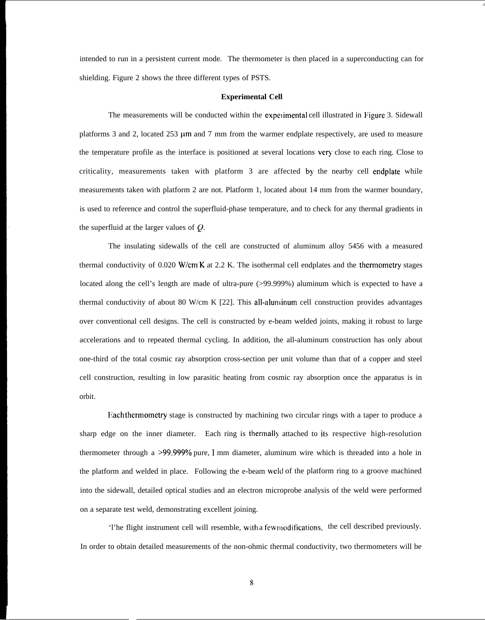intended to run in a persistent current mode. The thermometer is then placed in a superconducting can for shielding. Figure 2 shows the three different types of PSTS.

.,

## **Experimental Cell**

The measurements will be conducted within the experimental cell illustrated in Figure 3. Sidewall platforms 3 and 2, located 253  $\mu$ m and 7 mm from the warmer endplate respectively, are used to measure the temperature profile as the interface is positioned at several locations very close to each ring. Close to criticality, measurements taken with platform 3 are affected by the nearby cell endplate while measurements taken with platform 2 are not. Platform 1, located about 14 mm from the warmer boundary, is used to reference and control the superfluid-phase temperature, and to check for any thermal gradients in the superfluid at the larger values of Q.

The insulating sidewalls of the cell are constructed of aluminum alloy 5456 with a measured thermal conductivity of 0.020 W/cm"K at 2.2 K. The isothermal cell endplates and the thermometry stages located along the cell's length are made of ultra-pure (>99.999%) aluminum which is expected to have a thermal conductivity of about 80 W/cm K  $[22]$ . This all-aluninum cell construction provides advantages over conventional cell designs. The cell is constructed by e-beam welded joints, making it robust to large accelerations and to repeated thermal cycling. In addition, the all-aluminum construction has only about one-third of the total cosmic ray absorption cross-section per unit volume than that of a copper and steel cell construction, resulting in low parasitic heating from cosmic ray absorption once the apparatus is in orbit.

Each thermometry stage is constructed by machining two circular rings with a taper to produce a sharp edge on the inner diameter. Each ring is thermall) attached to its respective high-resolution thermometer through a >99.999% pure, 1 mm diameter, aluminum wire which is threaded into a hole in the platform and welded in place. Following the e-beam wekl of the platform ring to a groove machined into the sidewall, detailed optical studies and an electron microprobe analysis of the weld were performed on a separate test weld, demonstrating excellent joining.

'l'he flight instrument cell will resemble, with a few modifications, the cell described previously. In order to obtain detailed measurements of the non-ohmic thermal conductivity, two thermometers will be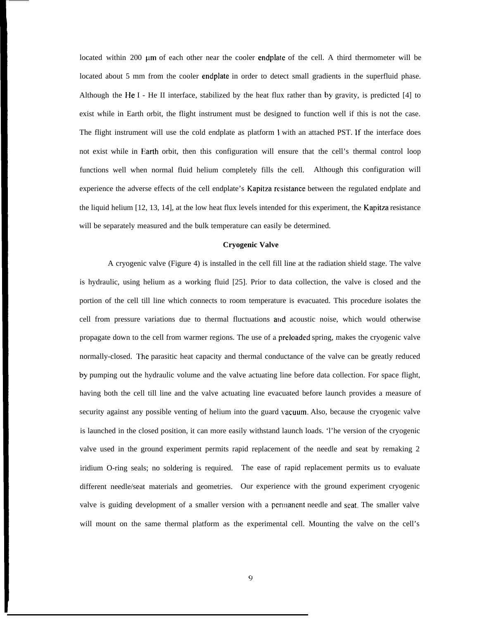located within 200 um of each other near the cooler endplate of the cell. A third thermometer will be located about 5 mm from the cooler endplate in order to detect small gradients in the superfluid phase. Although the He I - He II interface, stabilized by the heat flux rather than by gravity, is predicted  $[4]$  to exist while in Earth orbit, the flight instrument must be designed to function well if this is not the case. The flight instrument will use the cold endplate as platform 1 with an attached PST. If the interface does not exist while in Earth orbit, then this configuration will ensure that the cell's thermal control loop functions well when normal fluid helium completely fills the cell. Although this configuration will experience the adverse effects of the cell endplate's Kapitza resistance between the regulated endplate and the liquid helium [12, 13, 14], at the low heat flux levels intended for this experiment, the Kapitza resistance will be separately measured and the bulk temperature can easily be determined.

## **Cryogenic Valve**

A cryogenic valve (Figure 4) is installed in the cell fill line at the radiation shield stage. The valve is hydraulic, using helium as a working fluid [25]. Prior to data collection, the valve is closed and the portion of the cell till line which connects to room temperature is evacuated. This procedure isolates the cell from pressure variations due to thermal fluctuations and acoustic noise, which would otherwise propagate down to the cell from warmer regions. The use of a preloaded spring, makes the cryogenic valve normally-closed. The parasitic heat capacity and thermal conductance of the valve can be greatly reduced by pumping out the hydraulic volume and the valve actuating line before data collection. For space flight, having both the cell till line and the valve actuating line evacuated before launch provides a measure of security against any possible venting of helium into the guard vacuum. Also, because the cryogenic valve is launched in the closed position, it can more easily withstand launch loads. 'l'he version of the cryogenic valve used in the ground experiment permits rapid replacement of the needle and seat by remaking 2 iridium O-ring seals; no soldering is required. The ease of rapid replacement permits us to evaluate different needle/seat materials and geometries. Our experience with the ground experiment cryogenic valve is guiding development of a smaller version with a permanent needle and seat. The smaller valve will mount on the same thermal platform as the experimental cell. Mounting the valve on the cell's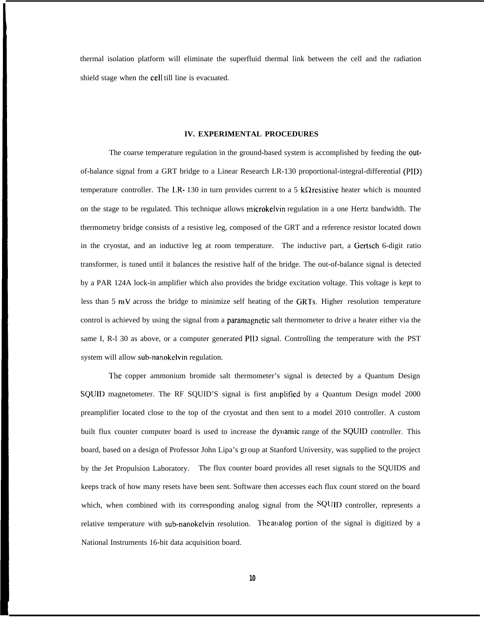thermal isolation platform will eliminate the superfluid thermal link between the cell and the radiation shield stage when the cell till line is evacuated.

## **IV. EXPERIMENTAL PROCEDURES**

The coarse temperature regulation in the ground-based system is accomplished by feeding the outof-balance signal from a GRT bridge to a Linear Research LR-130 proportional-integral-differential (PID) temperature controller. The LR-130 in turn provides current to a 5 k $\Omega$  resistive heater which is mounted on the stage to be regulated. This technique allows microkelvin regulation in a one Hertz bandwidth. The thermometry bridge consists of a resistive leg, composed of the GRT and a reference resistor located down in the cryostat, and an inductive leg at room temperature. The inductive part, a Gertsch 6-digit ratio transformer, is tuned until it balances the resistive half of the bridge. The out-of-balance signal is detected by a PAR 124A lock-in amplifier which also provides the bridge excitation voltage. This voltage is kept to less than 5 mV across the bridge to minimize self heating of the GRTs. Higher resolution temperature control is achieved by using the signal from a paramagnetic salt thermometer to drive a heater either via the same I, R-1 30 as above, or a computer generated PID signal. Controlling the temperature with the PST system will allow sub-nanokelvin regulation.

I'he copper ammonium bromide salt thermometer's signal is detected by a Quantum Design SQUID magnetometer. The RF SQUID'S signal is first amplified by a Quantum Design model 2000 preamplifier located close to the top of the cryostat and then sent to a model 2010 controller. A custom built flux counter computer board is used to increase the dynamic range of the SQUID controller. This board, based on a design of Professor John Lipa's gl oup at Stanford University, was supplied to the project by the Jet Propulsion Laboratory. The flux counter board provides all reset signals to the SQUIDS and keeps track of how many resets have been sent. Software then accesses each flux count stored on the board which, when combined with its corresponding analog signal from the SQUID controller, represents a relative temperature with sub-nanokelvin resolution. I'he analog portion of the signal is digitized by a National Instruments 16-bit data acquisition board.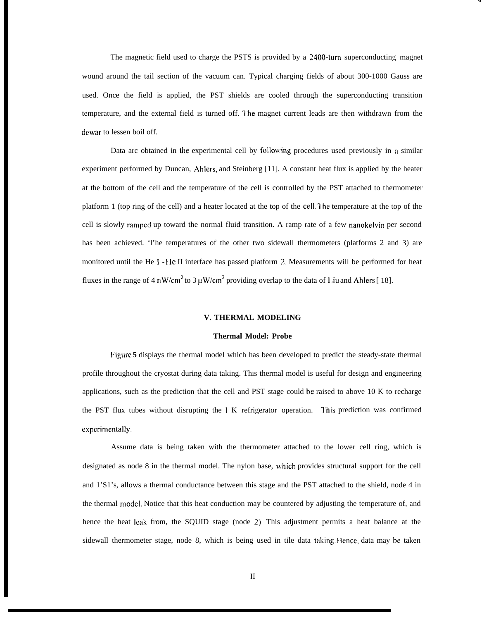The magnetic field used to charge the PSTS is provided by a 2400-turn superconducting magnet wound around the tail section of the vacuum can. Typical charging fields of about 300-1000 Gauss are used. Once the field is applied, the PST shields are cooled through the superconducting transition temperature, and the external field is turned off. I'he magnet current leads are then withdrawn from the dewar to lessen boil off.

.,

Data arc obtained in the experimental cell by following procedures used previously in a similar experiment performed by Duncan, Ahlers, and Steinberg [11]. A constant heat flux is applied by the heater at the bottom of the cell and the temperature of the cell is controlled by the PST attached to thermometer platform 1 (top ring of the cell) and a heater located at the top of the CCII. I'he temperature at the top of the cell is slowly rarnpcd up toward the normal fluid transition. A ramp rate of a few nanokelvin per second has been achieved. 'l'he temperatures of the other two sidewall thermometers (platforms 2 and 3) are monitored until the He 1- } Ie II interface has passed platform 2. Measurements will be performed for heat fluxes in the range of 4 nW/cm<sup>2</sup> to 3  $\mu$ W/cm<sup>2</sup> providing overlap to the data of Liu and Ahlers [ 18].

## **V. THERMAL MODELING**

#### **Thermal Model: Probe**

I:igurc **5** displays the thermal model which has been developed to predict the steady-state thermal profile throughout the cryostat during data taking. This thermal model is useful for design and engineering applications, such as the prediction that the cell and PST stage could be raised to above  $10 K$  to recharge the PST flux tubes without disrupting the 1 K refrigerator operation. I'his prediction was confirmed experimentally.

Assume data is being taken with the thermometer attached to the lower cell ring, which is designated as node 8 in the thermal model. The nylon base, \vhich provides structural support for the cell and 1'S1's, allows a thermal conductance between this stage and the PST attached to the shield, node 4 in the thermal rnodcl. Notice that this heat conduction may be countered by adjusting the temperature of, and hence the heat leak from, the SQUID stage (node 2). This adjustment permits a heat balance at the sidewall thermometer stage, node 8, which is being used in tile data taking Hence, data may be taken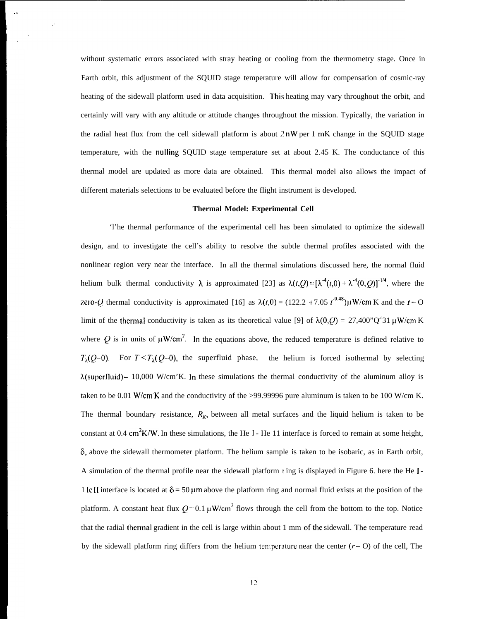without systematic errors associated with stray heating or cooling from the thermometry stage. Once in Earth orbit, this adjustment of the SQUID stage temperature will allow for compensation of cosmic-ray heating of the sidewall platform used in data acquisition. This heating may vary throughout the orbit, and certainly will vary with any altitude or attitude changes throughout the mission. Typically, the variation in the radial heat flux from the cell sidewall platform is about  $2nW$  per 1 mK change in the SQUID stage temperature, with the nulling SQUID stage temperature set at about 2.45 K. The conductance of this thermal model are updated as more data are obtained. This thermal model also allows the impact of different materials selections to be evaluated before the flight instrument is developed.

## **Thermal Model: Experimental Cell**

'l'he thermal performance of the experimental cell has been simulated to optimize the sidewall design, and to investigate the cell's ability to resolve the subtle thermal profiles associated with the nonlinear region very near the interface. In all the thermal simulations discussed here, the normal fluid helium bulk thermal conductivity  $\lambda$  is approximated [23] as  $\lambda(t,0) = [\lambda^{4}(t,0) + \lambda^{4}(0,0)]^{1/4}$ , where the zero-Q thermal conductivity is approximated [16] as  $\lambda(t,0) = (122.2 + 7.05 \, t^{0.48}) \mu$ W/cm K and the  $t = 0$ limit of the thermal conductivity is taken as its theoretical value [9] of  $\lambda(0, Q) = 27,400^{\circ}\text{C}^3$ 1  $\mu$ W/cm K where Q is in units of  $\mu$ W/cm<sup>2</sup>. In the equations above, the reduced temperature is defined relative to  $T_{\lambda}(Q=0)$ . For  $T \leq T_{\lambda}(Q=0)$ , the superfluid phase, the helium is forced isothermal by selecting  $\lambda$ (superfluid) = 10,000 W/cm'K. In these simulations the thermal conductivity of the aluminum alloy is taken to be 0.01 W/cm<sup>'</sup>K and the conductivity of the >99.99996 pure aluminum is taken to be 100 W/cm K. The thermal boundary resistance,  $R<sub>K</sub>$ , between all metal surfaces and the liquid helium is taken to be constant at 0.4 cm<sup>2</sup>K/W. In these simulations, the He I - He 11 interface is forced to remain at some height,  $\delta$ , above the sidewall thermometer platform. The helium sample is taken to be isobaric, as in Earth orbit, A simulation of the thermal profile near the sidewall platform  $\iota$  ing is displayed in Figure 6. here the He I-1 IeII interface is located at  $\delta = 50 \mu m$  above the platform ring and normal fluid exists at the position of the platform. A constant heat flux  $Q = 0.1 \mu W/cm^2$  flows through the cell from the bottom to the top. Notice that the radial thermal gradient in the cell is large within about 1 mm of the sidewall. The temperature read by the sidewall platform ring differs from the helium temperature near the center ( $r = 0$ ) of the cell, The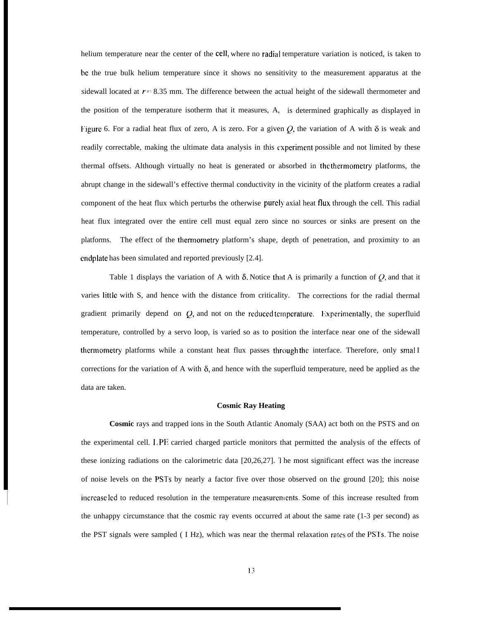helium temperature near the center of the cell, where no radial temperature variation is noticed, is taken to bc the true bulk helium temperature since it shows no sensitivity to the measurement apparatus at the sidewall located at  $r = 8.35$  mm. The difference between the actual height of the sidewall thermometer and the position of the temperature isotherm that it measures, A, is determined graphically as displayed in Figure 6. For a radial heat flux of zero, A is zero. For a given  $Q$ , the variation of A with  $\delta$  is weak and readily correctable, making the ultimate data analysis in this experiment possible and not limited by these thermal offsets. Although virtually no heat is generated or absorbed in the thermornetry platforms, the abrupt change in the sidewall's effective thermal conductivity in the vicinity of the platform creates a radial component of the heat flux which perturbs the otherwise purely axial heat flux through the cell. This radial heat flux integrated over the entire cell must equal zero since no sources or sinks are present on the platforms. The effect of the thermometry platform's shape, depth of penetration, and proximity to an cndplate has been simulated and reported previously [2.4].

Table 1 displays the variation of A with  $\delta$ . Notice that A is primarily a function of  $\delta$ , and that it varies little with S, and hence with the distance from criticality. The corrections for the radial thermal gradient primarily depend on  $Q$ , and not on the reduced temperature. Experimentally, the superfluid temperature, controlled by a servo loop, is varied so as to position the interface near one of the sidewall thermometry platforms while a constant heat flux passes through the interface. Therefore, only smal I corrections for the variation of A with  $\delta$ , and hence with the superfluid temperature, need be applied as the data are taken.

## **Cosmic Ray Heating**

**Cosmic** rays and trapped ions in the South Atlantic Anomaly (SAA) act both on the PSTS and on the experimental cell. I, PI? carried charged particle monitors that permitted the analysis of the effects of these ionizing radiations on the calorimetric data [20,26,27]. '1 he most significant effect was the increase of noise levels on the PSTS by nearly a factor five over those observed on the ground [20]; this noise increase led to reduced resolution in the temperature measurements. Some of this increase resulted from the unhappy circumstance that the cosmic ray events occurred at about the same rate  $(1-3)$  per second) as the PST signals were sampled ( I Hz), which was near the thermal relaxation rates of the PSTS. The noise

I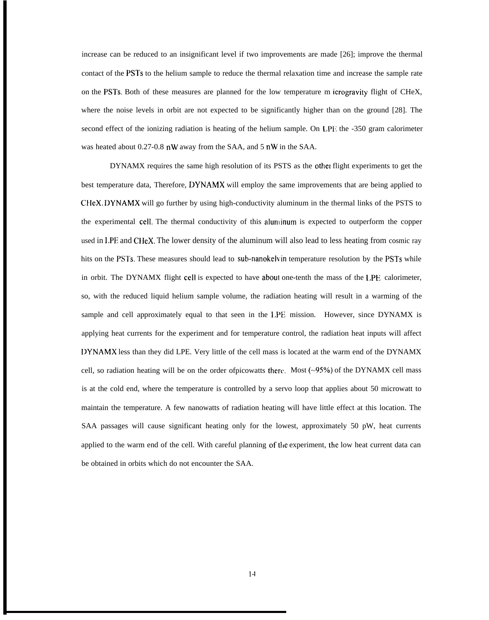increase can be reduced to an insignificant level if two improvements are made [26]; improve the thermal contact of the PSTs to the helium sample to reduce the thermal relaxation time and increase the sample rate on the PSTS. Both of these measures are planned for the low temperature m icrogravity flight of CHeX, where the noise levels in orbit are not expected to be significantly higher than on the ground [28]. The second effect of the ionizing radiation is heating of the helium sample. On LPE the -350 gram calorimeter was heated about 0.27-0.8 nW away from the SAA, and 5 nW in the SAA.

DYNAMX requires the same high resolution of its PSTS as the othei flight experiments to get the best temperature data, Therefore, DYNAMX will employ the same improvements that are being applied to CHeX. DYNAMX will go further by using high-conductivity aluminum in the thermal links of the PSTS to the experimental cell. The thermal conductivity of this aluminum is expected to outperform the copper used in I,PE and CHeX. The lower density of the aluminum will also lead to less heating from cosmic ray hits on the PSTs. These measures should lead to sub-nanokelvin temperature resolution by the PSTs while in orbit. The DYNAMX flight cell is expected to have aboul one-tenth the mass of the LPE calorimeter, so, with the reduced liquid helium sample volume, the radiation heating will result in a warming of the sample and cell approximately equal to that seen in the I.PE mission. However, since DYNAMX is applying heat currents for the experiment and for temperature control, the radiation heat inputs will affect I)YNAMX less than they did LPE. Very little of the cell mass is located at the warm end of the DYNAMX cell, so radiation heating will be on the order ofpicowatts therr. Most **(-95'%.)** of the DYNAMX cell mass is at the cold end, where the temperature is controlled by a servo loop that applies about 50 microwatt to maintain the temperature. A few nanowatts of radiation heating will have little effect at this location. The SAA passages will cause significant heating only for the lowest, approximately 50 pW, heat currents applied to the warm end of the cell. With careful planning of the experiment, the low heat current data can be obtained in orbits which do not encounter the SAA.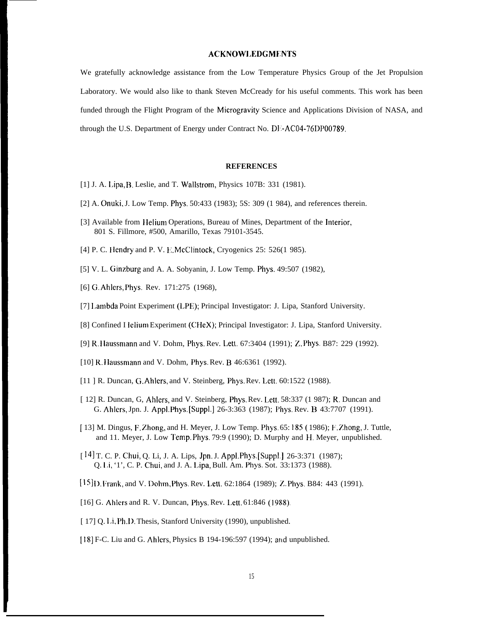# **ACKNOW1.EDGMENTS**

We gratefully acknowledge assistance from the Low Temperature Physics Group of the Jet Propulsion Laboratory. We would also like to thank Steven McCready for his useful comments. This work has been funded through the Flight Program of the Microgravity Science and Applications Division of NASA, and through the U.S. Department of Energy under Contract No. DE-AC04-76DP00789.

# **REFERENCES**

- [1] J. A. I.ipa, B. Leslie, and T. Wallstrom, Physics 107B: 331 (1981).
- [2] A. Onuki, J. Low Temp. Phys. 50:433 (1983); 5S: 309 (1 984), and references therein.
- [3] Available from Helium Operations, Bureau of Mines, Department of the Interior, 801 S. Fillmore, #500, Amarillo, Texas 79101-3545.
- [4] P. C. Hendry and P. V. E. McClintock, Cryogenics 25: 526(1 985).
- [5] V. L. Ginzburg and A. A. Sobyanin, J. Low Temp. Phys. 49:507 (1982),
- [6] G. Ahlcrs, Phys. Rev. 171:275 (1968),
- [7] I,ambda Point Experiment (LPE); Principal Investigator: J. Lipa, Stanford University.
- [8] Confined I lelium Experiment (CHeX); Principal Investigator: J. Lipa, Stanford University.
- [9] R. }Iaussmann and V. Dohm, Phys. Rev. Lett. 67:3404 (1991); Z. Phys. B87: 229 (1992).
- [10] R, llaussmann and V. Dohm, Phys. Rev. B 46:6361 (1992).
- [11 ] R. Duncan, G. Ahlers, and V. Steinberg, Phys. Rev. Lett. 60:1522 (1988).
- [ 12] R. Duncan, G, Ahlers, and V. Steinberg, Phys. Rev. Lett. 58:337 (1 987); R. Duncan and G. Ahlers, Jpn. J. Appl. Phys. [Suppl.] 26-3:363 (1987); Phys. Rev. B 43:7707 (1991).
- [ 13] M. Dingus, F. Zhong, and H. Meyer, J. Low Temp. Phys. 65: 185 ( 1986); F. Zhong, J. Tuttle, and 11. Meyer, J. Low Temp. Phys. 79:9 (1990); D. Murphy and H. Meyer, unpublished.
- [ 14] T. C. P. Chui, Q. Li, J. A. Lips, Jpn. J. Appl. Phys. [Suppl. ] 26-3:371 (1987); Q. Ii, '1', C. P. Chui, and J. A. I,ipa, Bull. Am. Phys. Sot. 33:1373 (1988).
- [15] D. Frank, and V. Dohm, Phys. Rev. Lett. 62:1864 (1989); Z. Phys. B84: 443 (1991).
- [16] G. Ahlers and R. V. Duncan, Phys. Rev. Lett. 61:846 (1988).
- [ 17] Q. Li, Ph, D. Thesis, Stanford University (1990), unpublished.
- [18] F-C. Liu and G. Ahlers, Physics B 194-196:597 (1994); and unpublished.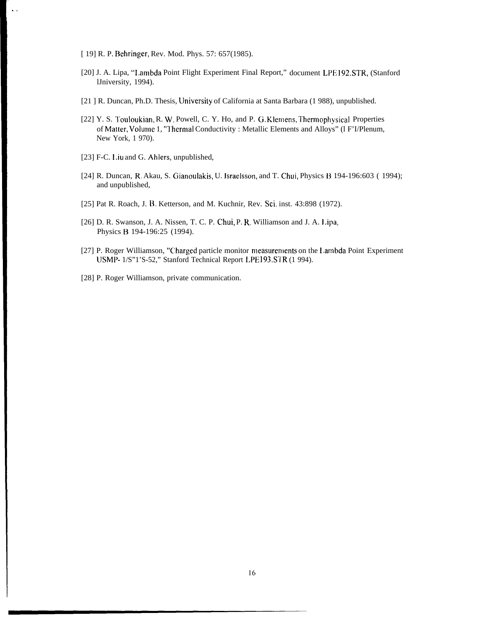[ 19] R. P. Behringer, Rev. Mod. Phys. 57: 657(1985).

.,

- [20] J. A. Lipa, "1.atnbda Point Flight Experiment Final Report," document LPE 192,STR, (Stanford lJniversity, 1994).
- [21 ] R. Duncan, Ph.D. Thesis, University of California at Santa Barbara (1 988), unpublished.
- [22] Y. S. Touloukian, R. W. Powell, C. Y. Ho, and P. G. Klemens, Thermophysical Properties of Matter, Volume 1, "Thermal Conductivity : Metallic Elements and Alloys" (1 F'I/Plenum, New York, 1 970).
- [23] F-C. Liu and G. Ahlers, unpublished,
- [24] R. Duncan, R. Akau, S. Gianoulakis, U. lsraelsson, and T. Chui, Physics B 194-196:603 ( 1994); and unpublished,
- [25] Pat R. Roach, J. B. Ketterson, and M. Kuchnir, Rev. Sci. inst. 43:898 (1972).
- [26] D. R. Swanson, J. A. Nissen, T. C. P. Chui, P. R. Williamson and J. A. Lipa, Physics B 194-196:25 (1994).
- [27] P. Roger Williamson, "Charged particle monitor measurements on the Lambda Point Experiment USMP- 1/S"1'S-52," Stanford Technical Report LPE193.STR (1 994).
- [28] P. Roger Williamson, private communication.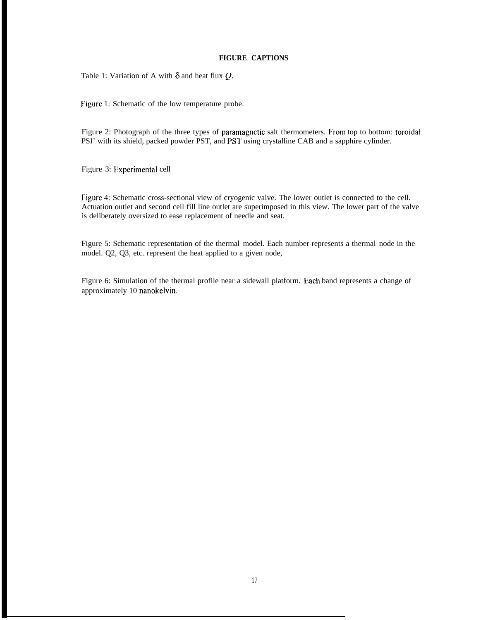## **FIGURE CAPTIONS**

Table 1: Variation of A with  $\delta$  and heat flux  $Q$ .

Figure 1: Schematic of the low temperature probe.

Figure 2: Photograph of the three types of paramagnetic salt thermometers. From top to bottom: toroidal PSI' with its shield, packed powder PST, and PST using crystalline CAB and a sapphire cylinder.

Figure 3: Experimental cell

Figure 4: Schematic cross-sectional view of cryogenic valve. The lower outlet is connected to the cell. Actuation outlet and second cell fill line outlet are superimposed in this view. The lower part of the valve is deliberately oversized to ease replacement of needle and seat.

Figure 5: Schematic representation of the thermal model. Each number represents a thermal node in the model. Q2, Q3, etc. represent the heat applied to a given node,

Figure 6: Simulation of the thermal profile near a sidewall platform. Each band represents a change of approximately 10 nanokelvin.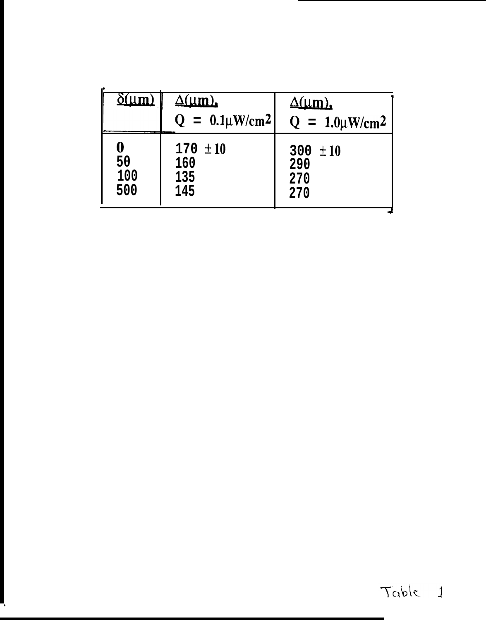| $\delta(\mu m)$ | $\Delta(\mu m)$<br>$Q = 0.1 \mu W/cm^2$ | $\Delta(\mu m)$ ,<br>$Q = 1.0 \mu W/cm^2$ |
|-----------------|-----------------------------------------|-------------------------------------------|
| $\bf{0}$        | $170 \pm 10$                            | 300 $\pm 10$                              |
| 50              | 160                                     | 290                                       |
| 100             | 135                                     | 270                                       |
| 500             | 145                                     | 270                                       |

٦,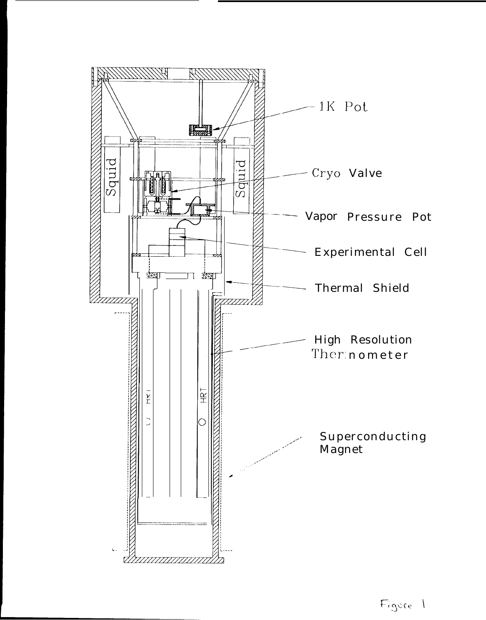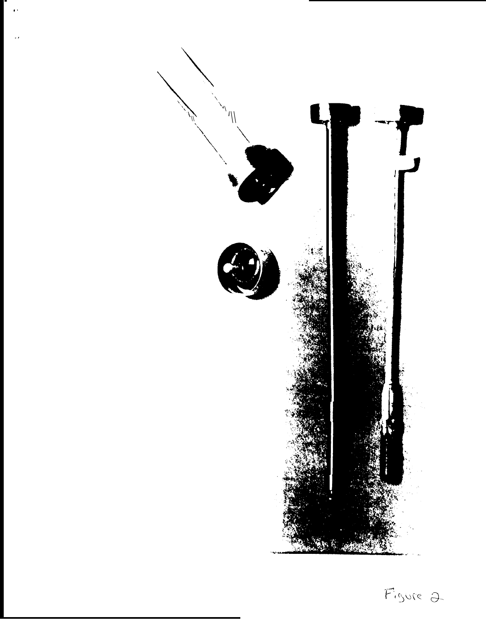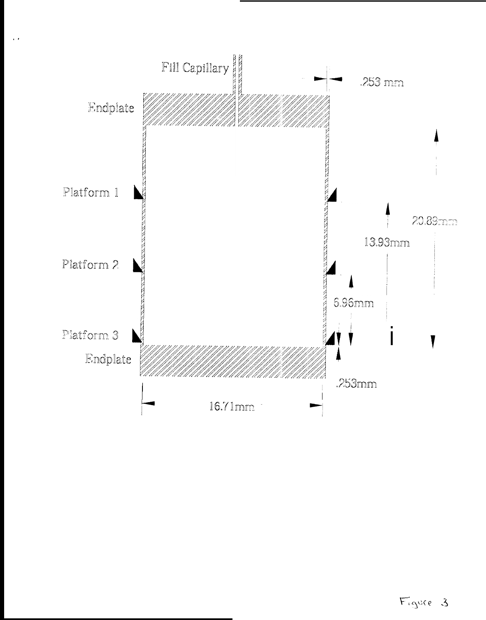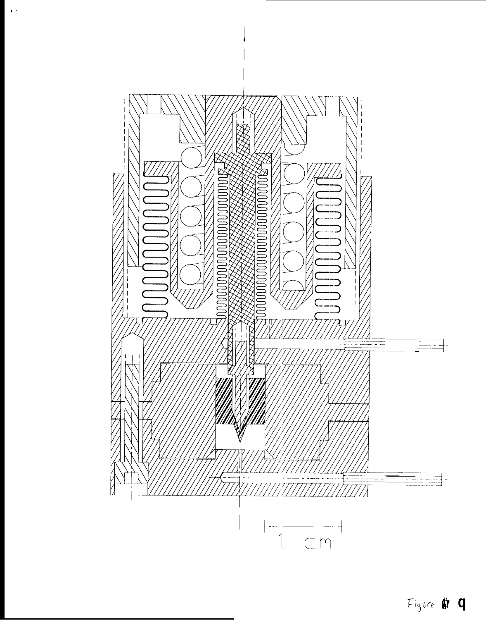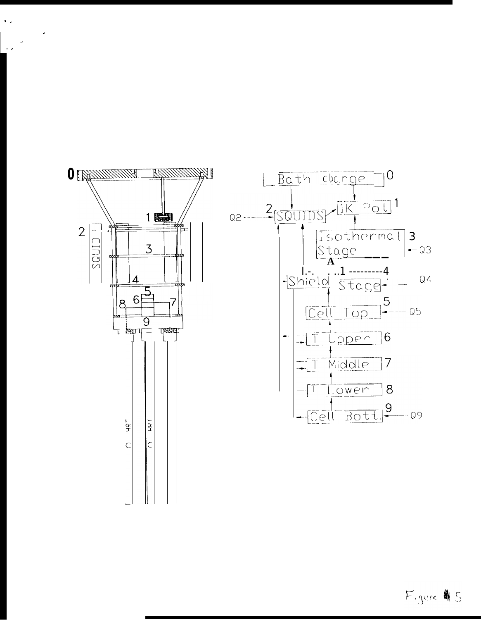

 $\mathbf{1}$  ,



Figure 45